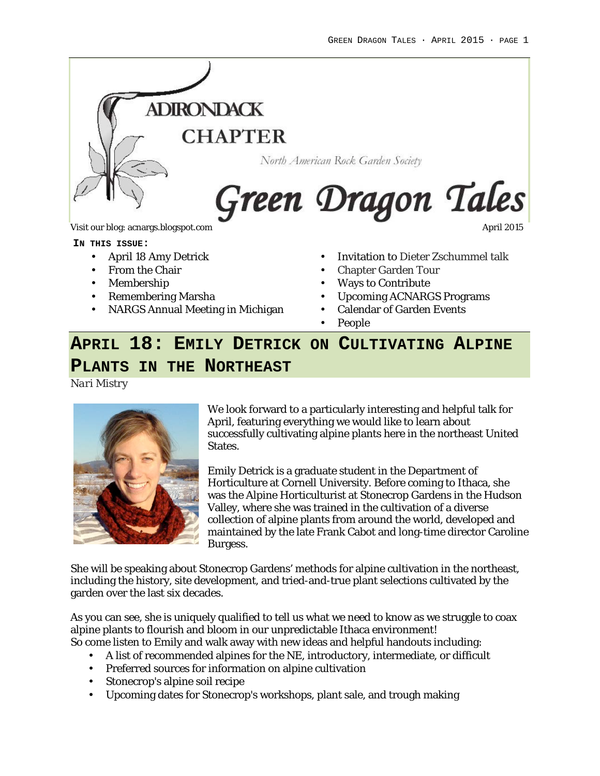

Visit our blog: acnargs.blogspot.com April 2015

#### **IN THIS ISSUE:**

- April 18 Amy Detrick
- From the Chair
- Membership
- Remembering Marsha
- NARGS Annual Meeting in Michigan
- Invitation to Dieter Zschummel talk
- Chapter Garden Tour
- Ways to Contribute
- Upcoming ACNARGS Programs
- Calendar of Garden Events
- People

# **APRIL 18: EMILY DETRICK ON CULTIVATING ALPINE**

## **PLANTS IN THE NORTHEAST**

*Nari Mistry*



We look forward to a particularly interesting and helpful talk for April, featuring everything we would like to learn about successfully cultivating alpine plants here in the northeast United States.

Emily Detrick is a graduate student in the Department of Horticulture at Cornell University. Before coming to Ithaca, she was the Alpine Horticulturist at Stonecrop Gardens in the Hudson Valley, where she was trained in the cultivation of a diverse collection of alpine plants from around the world, developed and maintained by the late Frank Cabot and long-time director Caroline Burgess.

She will be speaking about Stonecrop Gardens' methods for alpine cultivation in the northeast, including the history, site development, and tried-and-true plant selections cultivated by the garden over the last six decades.

As you can see, she is uniquely qualified to tell us what we need to know as we struggle to coax alpine plants to flourish and bloom in our unpredictable Ithaca environment! So come listen to Emily and walk away with new ideas and helpful handouts including:

- A list of recommended alpines for the NE, introductory, intermediate, or difficult
- Preferred sources for information on alpine cultivation
- Stonecrop's alpine soil recipe
- Upcoming dates for Stonecrop's workshops, plant sale, and trough making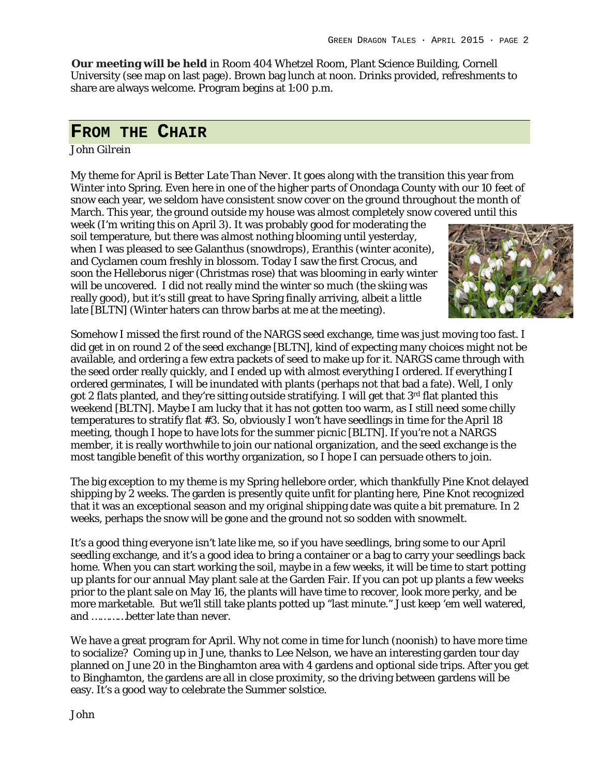**Our meeting will be held** in Room 404 Whetzel Room, Plant Science Building, Cornell University (see map on last page). Brown bag lunch at noon. Drinks provided, refreshments to share are always welcome. Program begins at 1:00 p.m.

### **FROM THE CHAIR**

#### *John Gilrein*

My theme for April is *Better Late Than Never*. It goes along with the transition this year from Winter into Spring. Even here in one of the higher parts of Onondaga County with our 10 feet of snow each year, we seldom have consistent snow cover on the ground throughout the month of March. This year, the ground outside my house was almost completely snow covered until this

week (I'm writing this on April 3). It was probably good for moderating the soil temperature, but there was almost nothing blooming until yesterday, when I was pleased to see Galanthus (snowdrops), Eranthis (winter aconite), and Cyclamen coum freshly in blossom. Today I saw the first Crocus, and soon the Helleborus niger (Christmas rose) that was blooming in early winter will be uncovered. I did not really mind the winter so much (the skiing was really good), but it's still great to have Spring finally arriving, albeit a little late [BLTN] (Winter haters can throw barbs at me at the meeting).



Somehow I missed the first round of the NARGS seed exchange, time was just moving too fast. I did get in on round 2 of the seed exchange [BLTN], kind of expecting many choices might not be available, and ordering a few extra packets of seed to make up for it. NARGS came through with the seed order really quickly, and I ended up with almost everything I ordered. If everything I ordered germinates, I will be inundated with plants (perhaps not that bad a fate). Well, I only got 2 flats planted, and they're sitting outside stratifying. I will get that  $3<sup>rd</sup>$  flat planted this weekend [BLTN]. Maybe I am lucky that it has not gotten too warm, as I still need some chilly temperatures to stratify flat #3. So, obviously I won't have seedlings in time for the April 18 meeting, though I hope to have lots for the summer picnic [BLTN]. If you're not a NARGS member, it is really worthwhile to join our national organization, and the seed exchange is the most tangible benefit of this worthy organization, so I hope I can persuade others to join.

The big exception to my theme is my Spring hellebore order, which thankfully Pine Knot delayed shipping by 2 weeks. The garden is presently quite unfit for planting here, Pine Knot recognized that it was an exceptional season and my original shipping date was quite a bit premature. In 2 weeks, perhaps the snow will be gone and the ground not so sodden with snowmelt.

It's a good thing everyone isn't late like me, so if you have seedlings, bring some to our April seedling exchange, and it's a good idea to bring a container or a bag to carry your seedlings back home. When you can start working the soil, maybe in a few weeks, it will be time to start potting up plants for our annual May plant sale at the Garden Fair. If you can pot up plants a few weeks prior to the plant sale on May 16, the plants will have time to recover, look more perky, and be more marketable. But we'll still take plants potted up "last minute." Just keep 'em well watered, and …………better late than never.

We have a great program for April. Why not come in time for lunch (noonish) to have more time to socialize? Coming up in June, thanks to Lee Nelson, we have an interesting garden tour day planned on June 20 in the Binghamton area with 4 gardens and optional side trips. After you get to Binghamton, the gardens are all in close proximity, so the driving between gardens will be easy. It's a good way to celebrate the Summer solstice.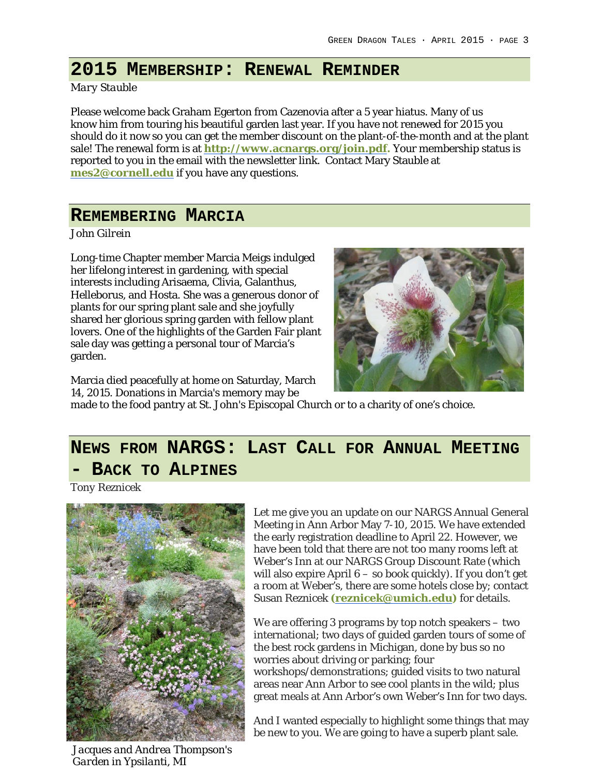# **2015 MEMBERSHIP: RENEWAL REMINDER**

#### *Mary Stauble*

Please welcome back Graham Egerton from Cazenovia after a 5 year hiatus. Many of us know him from touring his beautiful garden last year. If you have not renewed for 2015 you should do it now so you can get the member discount on the plant-of-the-month and at the plant sale! The renewal form is at **http://www.acnargs.org/join.pdf.** Your membership status is reported to you in the email with the newsletter link. Contact Mary Stauble at **mes2@cornell.edu** if you have any questions.

### **REMEMBERING MARCIA**

*John Gilrein*

Long-time Chapter member Marcia Meigs indulged her lifelong interest in gardening, with special interests including Arisaema, Clivia, Galanthus, Helleborus, and Hosta. She was a generous donor of plants for our spring plant sale and she joyfully shared her glorious spring garden with fellow plant lovers. One of the highlights of the Garden Fair plant sale day was getting a personal tour of Marcia's garden.



Marcia died peacefully at home on Saturday, March 14, 2015. Donations in Marcia's memory may be

made to the food pantry at St. John's Episcopal Church or to a charity of one's choice.

# **NEWS FROM NARGS: LAST CALL FOR ANNUAL MEETING - BACK TO ALPINES**

*Tony Reznicek*



Let me give you an update on our NARGS Annual General Meeting in Ann Arbor May 7-10, 2015. We have extended the early registration deadline to April 22. However, we have been told that there are not too many rooms left at Weber's Inn at our NARGS Group Discount Rate (which will also expire April 6 – so book quickly). If you don't get a room at Weber's, there are some hotels close by; contact Susan Reznicek **(reznicek@umich.edu)** for details.

We are offering 3 programs by top notch speakers – two international; two days of guided garden tours of some of the best rock gardens in Michigan, done by bus so no worries about driving or parking; four workshops/demonstrations; guided visits to two natural areas near Ann Arbor to see cool plants in the wild; plus great meals at Ann Arbor's own Weber's Inn for two days.

And I wanted especially to highlight some things that may be new to you. We are going to have a superb plant sale.

*Jacques and Andrea Thompson's Garden in Ypsilanti, MI*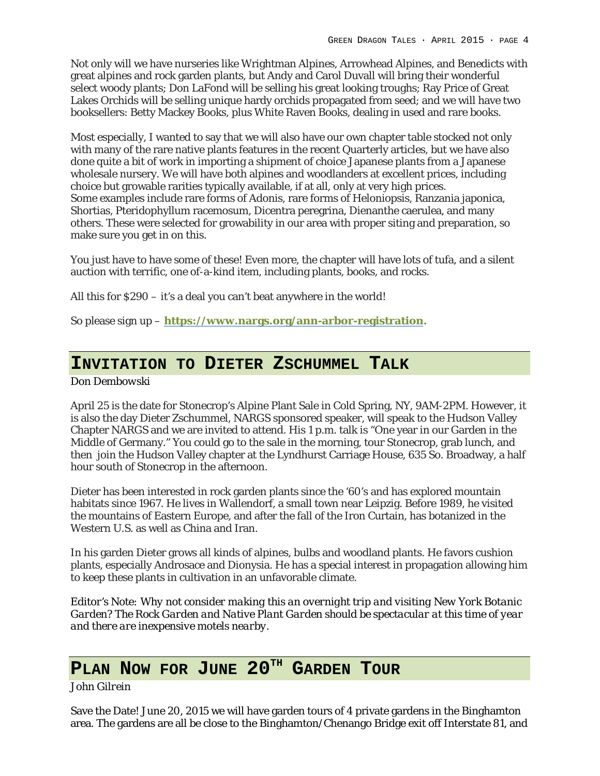Not only will we have nurseries like Wrightman Alpines, Arrowhead Alpines, and Benedicts with great alpines and rock garden plants, but Andy and Carol Duvall will bring their wonderful select woody plants; Don LaFond will be selling his great looking troughs; Ray Price of Great Lakes Orchids will be selling unique hardy orchids propagated from seed; and we will have two booksellers: Betty Mackey Books, plus White Raven Books, dealing in used and rare books.

Most especially, I wanted to say that we will also have our own chapter table stocked not only with many of the rare native plants features in the recent Quarterly articles, but we have also done quite a bit of work in importing a shipment of choice Japanese plants from a Japanese wholesale nursery. We will have both alpines and woodlanders at excellent prices, including choice but growable rarities typically available, if at all, only at very high prices. Some examples include rare forms of Adonis, rare forms of Heloniopsis, Ranzania japonica, Shortias, Pteridophyllum racemosum, Dicentra peregrina, Dienanthe caerulea, and many others. These were selected for growability in our area with proper siting and preparation, so make sure you get in on this.

You just have to have some of these! Even more, the chapter will have lots of tufa, and a silent auction with terrific, one of-a-kind item, including plants, books, and rocks.

All this for \$290 – it's a deal you can't beat anywhere in the world!

So please sign up – **https://www.nargs.org/ann-arbor-registration.**

### **INVITATION TO DIETER ZSCHUMMEL TALK**

#### *Don Dembowski*

April 25 is the date for Stonecrop's Alpine Plant Sale in Cold Spring, NY, 9AM-2PM. However, it is also the day Dieter Zschummel, NARGS sponsored speaker, will speak to the Hudson Valley Chapter NARGS and we are invited to attend. His 1 p.m. talk is "One year in our Garden in the Middle of Germany." You could go to the sale in the morning, tour Stonecrop, grab lunch, and then join the Hudson Valley chapter at the Lyndhurst Carriage House, 635 So. Broadway, a half hour south of Stonecrop in the afternoon.

Dieter has been interested in rock garden plants since the '60's and has explored mountain habitats since 1967. He lives in Wallendorf, a small town near Leipzig. Before 1989, he visited the mountains of Eastern Europe, and after the fall of the Iron Curtain, has botanized in the Western U.S. as well as China and Iran.

In his garden Dieter grows all kinds of alpines, bulbs and woodland plants. He favors cushion plants, especially Androsace and Dionysia. He has a special interest in propagation allowing him to keep these plants in cultivation in an unfavorable climate.

*Editor's Note: Why not consider making this an overnight trip and visiting New York Botanic Garden? The Rock Garden and Native Plant Garden should be spectacular at this time of year and there are inexpensive motels nearby.*

# PLAN NOW FOR JUNE 20<sup>TH</sup> GARDEN TOUR

*John Gilrein*

Save the Date! June 20, 2015 we will have garden tours of 4 private gardens in the Binghamton area. The gardens are all be close to the Binghamton/Chenango Bridge exit off Interstate 81, and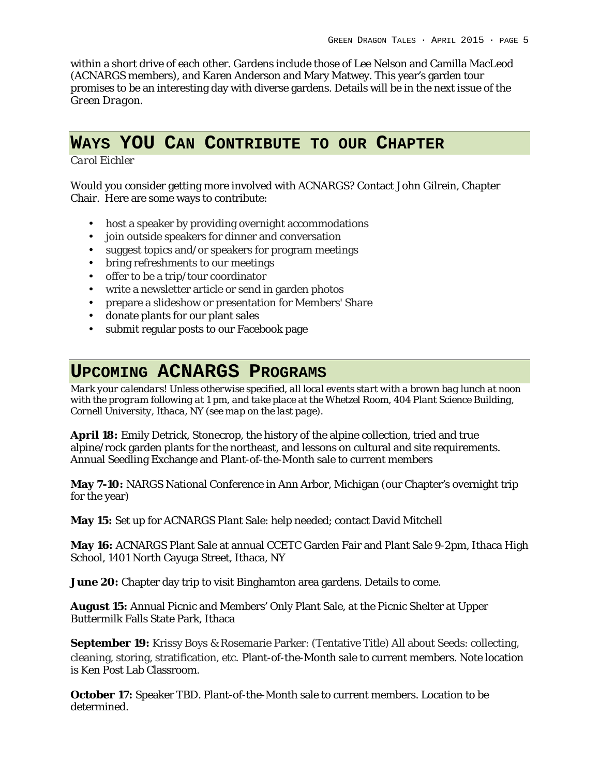within a short drive of each other. Gardens include those of Lee Nelson and Camilla MacLeod (ACNARGS members), and Karen Anderson and Mary Matwey. This year's garden tour promises to be an interesting day with diverse gardens. Details will be in the next issue of the *Green Dragon*.

## **WAYS YOU CAN CONTRIBUTE TO OUR CHAPTER**

#### *Carol Eichler*

Would you consider getting more involved with ACNARGS? Contact John Gilrein, Chapter Chair. Here are some ways to contribute:

- host a speaker by providing overnight accommodations
- join outside speakers for dinner and conversation
- suggest topics and/or speakers for program meetings
- bring refreshments to our meetings
- offer to be a trip/tour coordinator
- write a newsletter article or send in garden photos
- prepare a slideshow or presentation for Members' Share
- donate plants for our plant sales
- submit regular posts to our Facebook page

# **UPCOMING ACNARGS PROGRAMS**

*Mark your calendars! Unless otherwise specified, all local events start with a brown bag lunch at noon with the program following at 1 pm, and take place at the Whetzel Room, 404 Plant Science Building, Cornell University, Ithaca, NY (see map on the last page).*

**April 18:** Emily Detrick, Stonecrop, the history of the alpine collection, tried and true alpine/rock garden plants for the northeast, and lessons on cultural and site requirements. Annual Seedling Exchange and Plant-of-the-Month sale to current members

**May 7-10:** NARGS National Conference in Ann Arbor, Michigan (our Chapter's overnight trip for the year)

**May 15:** Set up for ACNARGS Plant Sale: help needed; contact David Mitchell

**May 16:** ACNARGS Plant Sale at annual CCETC Garden Fair and Plant Sale 9-2pm, Ithaca High School, 1401 North Cayuga Street, Ithaca, NY

**June 20:** Chapter day trip to visit Binghamton area gardens. Details to come.

**August 15:** Annual Picnic and Members' Only Plant Sale, at the Picnic Shelter at Upper Buttermilk Falls State Park, Ithaca

**September 19:** Krissy Boys & Rosemarie Parker: (Tentative Title) All about Seeds: collecting, cleaning, storing, stratification, etc. Plant-of-the-Month sale to current members. Note location is Ken Post Lab Classroom.

**October 17:** Speaker TBD. Plant-of-the-Month sale to current members. Location to be determined.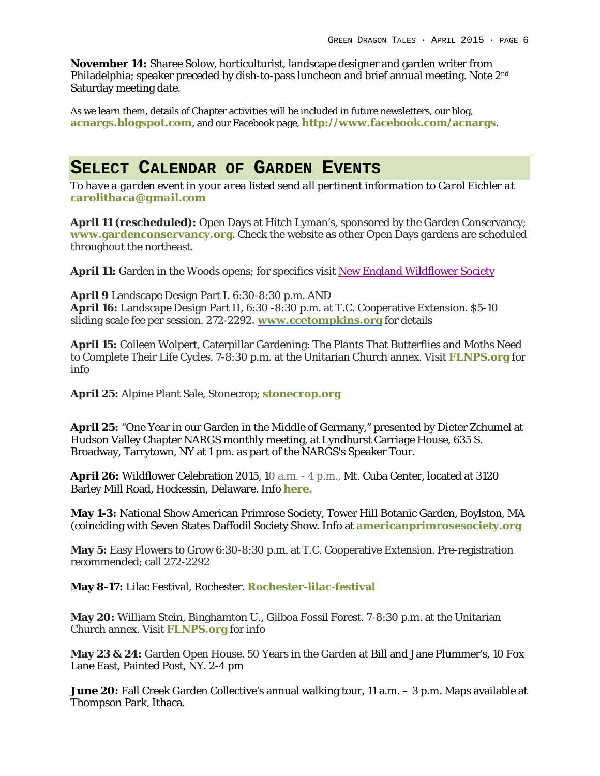**November 14:** Sharee Solow, horticulturist, landscape designer and garden writer from Philadelphia; speaker preceded by dish-to-pass luncheon and brief annual meeting. Note 2<sup>nd</sup> Saturday meeting date.

As we learn them, details of Chapter activities will be included in future newsletters, our blog, **acnargs.blogspot.com**, and our Facebook page, **http://www.facebook.com/acnargs**.

## **SELECT CALENDAR OF GARDEN EVENTS**

*To have a garden event in your area listed send all pertinent information to Carol Eichler at carolithaca@gmail.com*

**April 11 (rescheduled):** Open Days at Hitch Lyman's, sponsored by the Garden Conservancy; **www.gardenconservancy.org**. Check the website as other Open Days gardens are scheduled throughout the northeast.

**April 11:** Garden in the Woods opens; for specifics visit New England Wildflower Society

**April 9** Landscape Design Part I. 6:30-8:30 p.m. AND **April 16:** Landscape Design Part II, 6:30 -8:30 p.m. at T.C. Cooperative Extension. \$5-10 sliding scale fee per session. 272-2292**. www.ccetompkins.org** for details

**April 15:** Colleen Wolpert, Caterpillar Gardening: The Plants That Butterflies and Moths Need to Complete Their Life Cycles. 7-8:30 p.m. at the Unitarian Church annex. Visit **FLNPS.org** for info

**April 25:** Alpine Plant Sale, Stonecrop; **stonecrop.org**

**April 25:** "One Year in our Garden in the Middle of Germany," presented by Dieter Zchumel at Hudson Valley Chapter NARGS monthly meeting, at Lyndhurst Carriage House, 635 S. Broadway, Tarrytown, NY at 1 pm. as part of the NARGS's Speaker Tour.

**April 26:** Wildflower Celebration 2015, 10 a.m. - 4 p.m., Mt. Cuba Center, located at 3120 Barley Mill Road, Hockessin, Delaware. Info **here.**

**May 1-3:** National Show American Primrose Society, Tower Hill Botanic Garden, Boylston, MA (coinciding with Seven States Daffodil Society Show. Info at **americanprimrosesociety.org**

**May 5:** Easy Flowers to Grow 6:30-8:30 p.m. at T.C. Cooperative Extension. Pre-registration recommended; call 272-2292

**May 8-17:** Lilac Festival, Rochester. **Rochester-lilac-festival**

**May 20:** William Stein, Binghamton U., Gilboa Fossil Forest. 7-8:30 p.m. at the Unitarian Church annex. Visit **FLNPS.org** for info

**May 23 & 24:** Garden Open House. 50 Years in the Garden at Bill and Jane Plummer's, 10 Fox Lane East, Painted Post, NY. 2-4 pm

**June 20:** Fall Creek Garden Collective's annual walking tour, 11 a.m. – 3 p.m. Maps available at Thompson Park, Ithaca.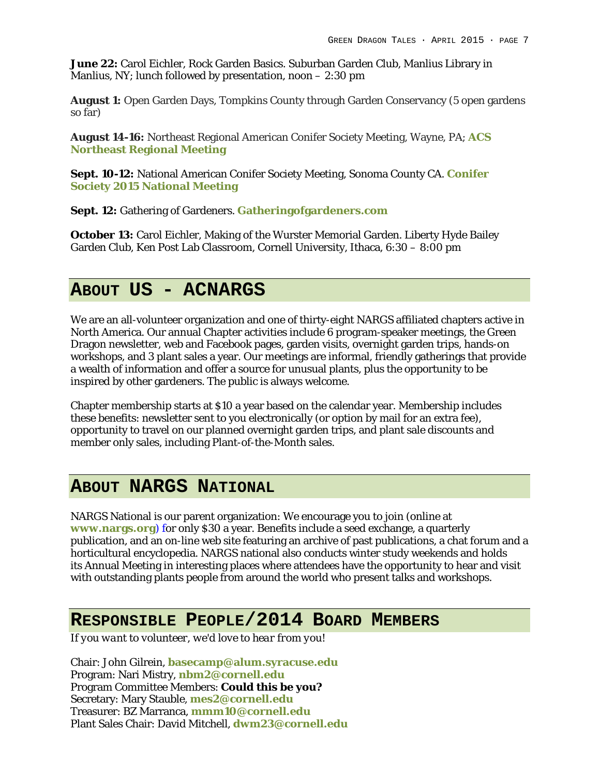**June 22:** Carol Eichler, Rock Garden Basics. Suburban Garden Club, Manlius Library in Manlius, NY; lunch followed by presentation, noon – 2:30 pm

**August 1:** Open Garden Days, Tompkins County through Garden Conservancy (5 open gardens so far)

**August 14-16:** Northeast Regional American Conifer Society Meeting, Wayne, PA; **ACS Northeast Regional Meeting**

**Sept. 10-12:** National American Conifer Society Meeting, Sonoma County CA. **Conifer Society 2015 National Meeting**

**Sept. 12:** Gathering of Gardeners. **Gatheringofgardeners.com**

**October 13:** Carol Eichler, Making of the Wurster Memorial Garden. Liberty Hyde Bailey Garden Club, Ken Post Lab Classroom, Cornell University, Ithaca, 6:30 – 8:00 pm

## **ABOUT US - ACNARGS**

We are an all-volunteer organization and one of thirty-eight NARGS affiliated chapters active in North America. Our annual Chapter activities include 6 program-speaker meetings, the Green Dragon newsletter, web and Facebook pages, garden visits, overnight garden trips, hands-on workshops, and 3 plant sales a year. Our meetings are informal, friendly gatherings that provide a wealth of information and offer a source for unusual plants, plus the opportunity to be inspired by other gardeners. The public is always welcome.

Chapter membership starts at \$10 a year based on the calendar year. Membership includes these benefits: newsletter sent to you electronically (or option by mail for an extra fee), opportunity to travel on our planned overnight garden trips, and plant sale discounts and member only sales, including Plant-of-the-Month sales.

## **ABOUT NARGS NATIONAL**

NARGS National is our parent organization: We encourage you to join (online at **www.nargs.org**) for only \$30 a year. Benefits include a seed exchange, a quarterly publication, and an on-line web site featuring an archive of past publications, a chat forum and a horticultural encyclopedia. NARGS national also conducts winter study weekends and holds its Annual Meeting in interesting places where attendees have the opportunity to hear and visit with outstanding plants people from around the world who present talks and workshops.

## **RESPONSIBLE PEOPLE/2014 BOARD MEMBERS**

*If you want to volunteer, we'd love to hear from you!*

Chair: John Gilrein, **basecamp@alum.syracuse.edu** Program: Nari Mistry, **nbm2@cornell.edu** Program Committee Members: **Could this be you?** Secretary: Mary Stauble, **mes2@cornell.edu** Treasurer: BZ Marranca, **mmm10@cornell.edu** Plant Sales Chair: David Mitchell, **dwm23@cornell.edu**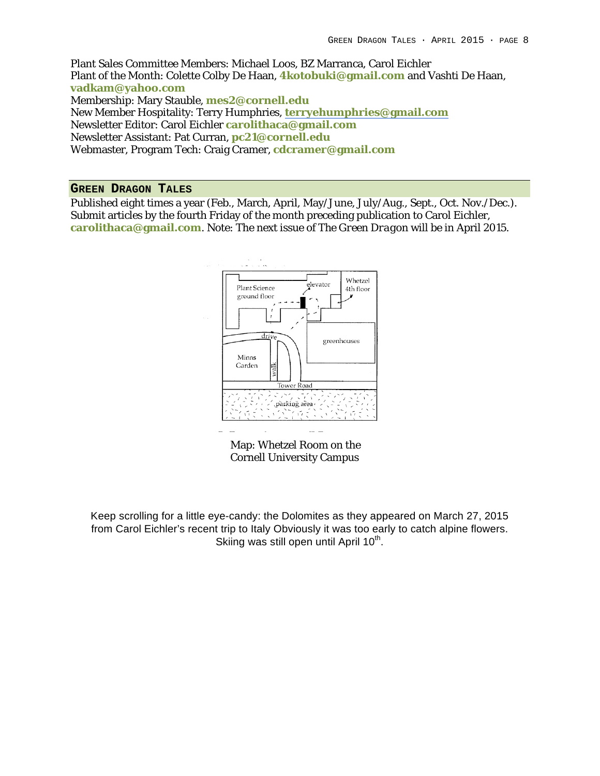Plant Sales Committee Members: Michael Loos, BZ Marranca, Carol Eichler Plant of the Month: Colette Colby De Haan, **4kotobuki@gmail.com** and Vashti De Haan, **vadkam@yahoo.com** Membership: Mary Stauble, **mes2@cornell.edu**

New Member Hospitality: Terry Humphries, **terryehumphries@gmail.com** Newsletter Editor: Carol Eichler **carolithaca@gmail.com** Newsletter Assistant: Pat Curran, **pc21@cornell.edu** Webmaster, Program Tech: Craig Cramer, **cdcramer@gmail.com**

#### **GREEN DRAGON TALES**

Published eight times a year (Feb., March, April, May/June, July/Aug., Sept., Oct. Nov./Dec.). Submit articles by the fourth Friday of the month preceding publication to Carol Eichler, **carolithaca@gmail.com**. Note: The next issue of *The Green Dragon* will be in April 2015.



Map: Whetzel Room on the Cornell University Campus

Keep scrolling for a little eye-candy: the Dolomites as they appeared on March 27, 2015 from Carol Eichler's recent trip to Italy Obviously it was too early to catch alpine flowers. Skiing was still open until April 10<sup>th</sup>.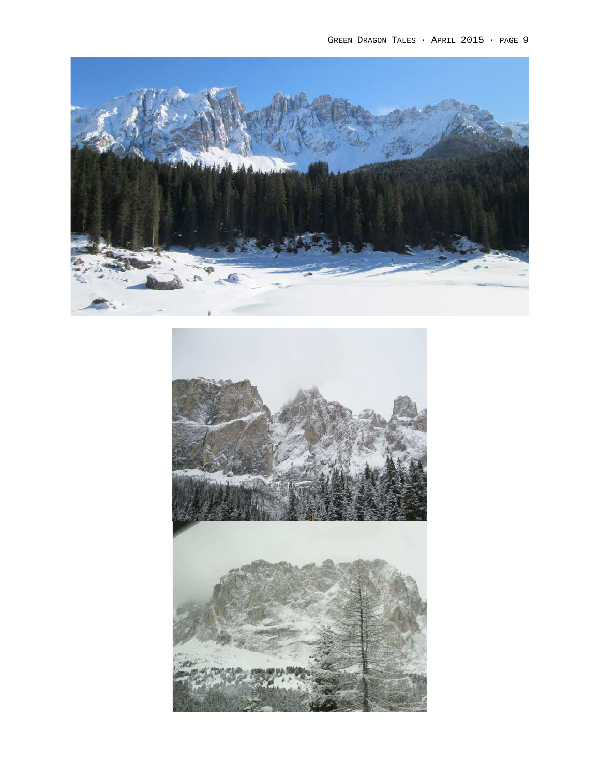